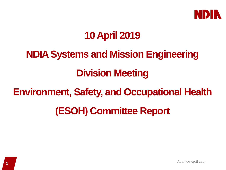

### **10 April 2019**

# **NDIA Systems and Mission Engineering**

# **Division Meeting**

#### **Environment, Safety, and Occupational Health**

### **(ESOH) Committee Report**

As of: 09 April 2019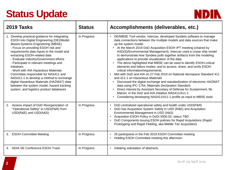# **Status Update**



| 2019 Tasks                                                                                                                                                                                                                                                                                                                                                                                                                                                                                                                                                                                                                 | <b>Status</b> | Accomplishments (deliverables, etc.)                                                                                                                                                                                                                                                                                                                                                                                                                                                                                                                                                                                                                                                                                                                                                                                                                                                                                                                                                                                                                                                                                                          |
|----------------------------------------------------------------------------------------------------------------------------------------------------------------------------------------------------------------------------------------------------------------------------------------------------------------------------------------------------------------------------------------------------------------------------------------------------------------------------------------------------------------------------------------------------------------------------------------------------------------------------|---------------|-----------------------------------------------------------------------------------------------------------------------------------------------------------------------------------------------------------------------------------------------------------------------------------------------------------------------------------------------------------------------------------------------------------------------------------------------------------------------------------------------------------------------------------------------------------------------------------------------------------------------------------------------------------------------------------------------------------------------------------------------------------------------------------------------------------------------------------------------------------------------------------------------------------------------------------------------------------------------------------------------------------------------------------------------------------------------------------------------------------------------------------------------|
| 1. Develop practical guidance for integrating<br>ESOH into Digital Engineering (DE)/Model<br><b>Based Systems Engineering (MBSE)</b><br>- Focus on providing ESOH risk and<br>requirements data inputs to the model and<br>extracting ESOH-related data<br>- Evaluate Industry/Government efforts<br>- Participate in relevant meetings and<br>initiatives<br>- Work with AIA Hazardous Materials<br>Committee responsible for NAS411 and<br>NAS411-1 to develop a method to exchange<br>digital Hazardous Materials (HAZMAT) data<br>between the system model, hazard tracking<br>system, and logistics product databases | In Progress   | DE/MBSE Tool vendor, Intercax, developed Syndeia software to manage<br>data connections between the multiple models and data sources that make<br>up the system model.<br>• At the March 2019 DoD Acquisition ESOH IPT meeting (chaired by<br>ASD(S)/Environmental Management), Intercax used a cruise ship model<br>to demonstrate how Syndeia pulls together artifacts from the modeling<br>applications to provide visualization of the data<br>The demo highlighted that MBSE can be used to identify ESOH-critical<br>$\bullet$<br>elements and failure modes; and to access, share, and verify ESOH-<br>critical information/requirements.<br>Met with DoD and AIA on 27 Feb 2019 on National Aerospace Standard 411<br>$\bullet$<br>and 411-1 on Hazardous Materials<br>Discussed the digital exchange and standardization of electronic HAZMAT<br>data using IPC-1754, Materials Declaration Standard,<br>Direct interest by Assistant Secretary of Defense for Sustainment, Mr.<br>$\bullet$<br>Mahon, in the DoD and AIA initiative NAS411/411-1<br>Considering developing NAS411/411-1 profile as input to MBSE tools<br>$\bullet$ |
| Assess impact of DoD Reorganization of<br>2.<br>"Operational Safety" to USD(P&R) from<br>USD(R&E) and USD(A&S)                                                                                                                                                                                                                                                                                                                                                                                                                                                                                                             | In Progress   | DoD centralized operational safety and health under USD(P&R)<br>$\bullet$<br>DoD has Acquisition System Safety in USD (R&E) and Acquisition<br>Environmental Management in USD (A&S)<br>Acquisition ESOH Policy in DoDI 5000.02; status TBD<br>$\bullet$<br>DoD Components issuing ESOH policies for Rapid Acquisitions (Rapid<br>Prototyping and Rapid Fielding, aka Middle Tier Acquisition)                                                                                                                                                                                                                                                                                                                                                                                                                                                                                                                                                                                                                                                                                                                                                |
| 3. ESOH Committee Meeting                                                                                                                                                                                                                                                                                                                                                                                                                                                                                                                                                                                                  | In Progress   | 25 participants in the Feb 2019 ESOH Committee meeting<br>Holding ESOH Committee meeting this afternoon                                                                                                                                                                                                                                                                                                                                                                                                                                                                                                                                                                                                                                                                                                                                                                                                                                                                                                                                                                                                                                       |
| 4. NDIA SE Conference ESOH Track                                                                                                                                                                                                                                                                                                                                                                                                                                                                                                                                                                                           | In Progress   | Initiating solicitation of abstracts                                                                                                                                                                                                                                                                                                                                                                                                                                                                                                                                                                                                                                                                                                                                                                                                                                                                                                                                                                                                                                                                                                          |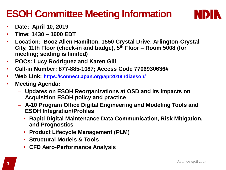### **ESOH Committee Meeting Information**



- **Date: April 10, 2019**
- **Time: 1430 – 1600 EDT**
- **Location: Booz Allen Hamilton, 1550 Crystal Drive, Arlington-Crystal City, 11th Floor (check-in and badge), 5th Floor – Room 5008 (for meeting; seating is limited)**
- **POCs: Lucy Rodriguez and Karen Gill**
- **Call-in Number: 877-885-1087; Access Code 7706930636#**
- **Web Link: <https://connect.apan.org/apr2019ndiaesoh/>**
- **Meeting Agenda:** 
	- **Updates on ESOH Reorganizations at OSD and its impacts on Acquisition ESOH policy and practice**
	- **A-10 Program Office Digital Engineering and Modeling Tools and ESOH Integration/Profiles**
		- **Rapid Digital Maintenance Data Communication, Risk Mitigation, and Prognostics**
		- **Product Lifecycle Management (PLM)**
		- **Structural Models & Tools**
		- **CFD Aero-Performance Analysis**